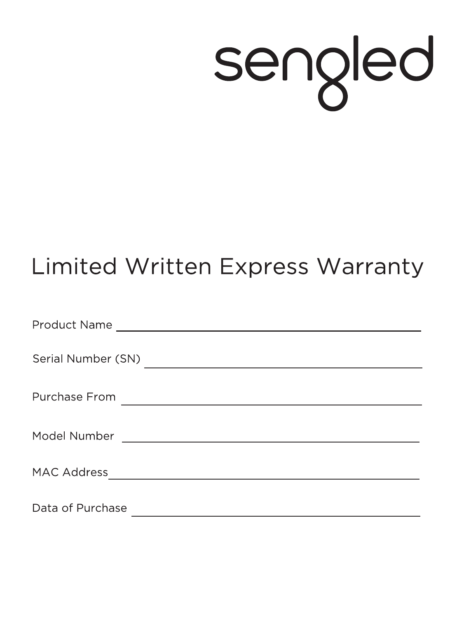## sengled

## **Limited Written Express Warranty**

| Data of Purchase |
|------------------|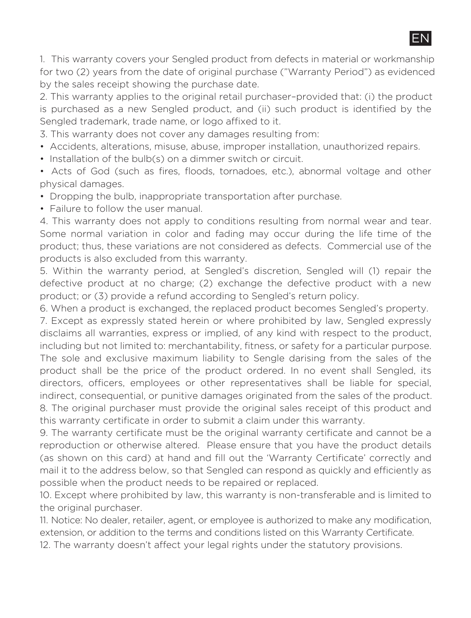EN

1. This warranty covers your Sengled product from defects in material or workmanship for two (2) years from the date of original purchase ("Warranty Period") as evidenced by the sales receipt showing the purchase date.

2. This warranty applies to the original retail purchaser–provided that: (i) the product is purchased as a new Sengled product, and (ii) such product is identified by the Sengled trademark, trade name, or logo affixed to it.

3. This warranty does not cover any damages resulting from:

- Accidents, alterations, misuse, abuse, improper installation, unauthorized repairs.
- Installation of the bulb(s) on a dimmer switch or circuit.

• Acts of God (such as fires, floods, tornadoes, etc.), abnormal voltage and other physical damages.

- Dropping the bulb, inappropriate transportation after purchase.
- Failure to follow the user manual.

4. This warranty does not apply to conditions resulting from normal wear and tear. Some normal variation in color and fading may occur during the life time of the product; thus, these variations are not considered as defects. Commercial use of the products is also excluded from this warranty.

5. Within the warranty period, at Sengled's discretion, Sengled will (1) repair the defective product at no charge; (2) exchange the defective product with a new product; or (3) provide a refund according to Sengled's return policy.

6. When a product is exchanged, the replaced product becomes Sengled's property.

7. Except as expressly stated herein or where prohibited by law, Sengled expressly disclaims all warranties, express or implied, of any kind with respect to the product, including but not limited to: merchantability, fitness, or safety for a particular purpose. The sole and exclusive maximum liability to Sengle darising from the sales of the product shall be the price of the product ordered. In no event shall Sengled, its directors, officers, employees or other representatives shall be liable for special, indirect, consequential, or punitive damages originated from the sales of the product. 8. The original purchaser must provide the original sales receipt of this product and this warranty certificate in order to submit a claim under this warranty.

9. The warranty certificate must be the original warranty certificate and cannot be a reproduction or otherwise altered. Please ensure that you have the product details (as shown on this card) at hand and fill out the 'Warranty Certificate' correctly and mail it to the address below, so that Sengled can respond as quickly and efficiently as possible when the product needs to be repaired or replaced.

10. Except where prohibited by law, this warranty is non-transferable and is limited to the original purchaser.

11. Notice: No dealer, retailer, agent, or employee is authorized to make any modification. extension, or addition to the terms and conditions listed on this Warranty Certificate.

12. The warranty doesn't affect your legal rights under the statutory provisions.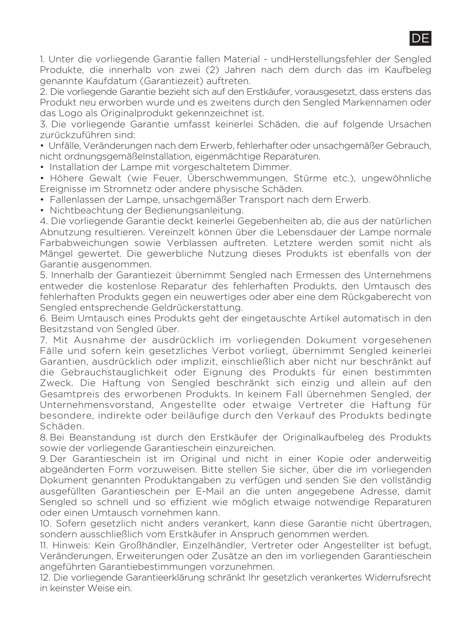1. Unter die vorliegende Garantie fallen Material - undHerstellungsfehler der Sengled Produkte, die innerhalb von zwei (2) Jahren nach dem durch das im Kaufbeleg genannte Kaufdatum (Garantiezeit) auftreten.

DE

2. Die vorliegende Garantie bezieht sich auf den Erstkäufer, vorausgesetzt, dass erstens das Produkt neu erworben wurde und es zweitens durch den Sengled Markennamen oder das Logo als Originalprodukt gekennzeichnet ist.

3. Die vorliegende Garantie umfasst keinerlei Schäden, die auf folgende Ursachen zurückzuführen sind:

• Unfälle, Veränderungen nach dem Erwerb, fehlerhafter oder unsachgemäßer Gebrauch, nicht ordnungsgemäßeInstallation, eigenmächtige Reparaturen.

• Installation der Lampe mit vorgeschaltetem Dimmer.

• Höhere Gewalt (wie Feuer, Überschwemmungen, Stürme etc.), ungewöhnliche Ereignisse im Stromnetz oder andere physische Schäden.

• Fallenlassen der Lampe, unsachgemäßer Transport nach dem Erwerb.

• Nichtbeachtung der Bedienungsanleitung.

4. Die vorliegende Garantie deckt keinerlei Gegebenheiten ab, die aus der natürlichen Abnutzung resultieren. Vereinzelt können über die Lebensdauer der Lampe normale Farbabweichungen sowie Verblassen auftreten. Letztere werden somit nicht als Mängel gewertet. Die gewerbliche Nutzung dieses Produkts ist ebenfalls von der Garantie ausgenommen.

5. Innerhalb der Garantiezeit übernimmt Sengled nach Ermessen des Unternehmens entweder die kostenlose Reparatur des fehlerhaften Produkts, den Umtausch des fehlerhaften Produkts gegen ein neuwertiges oder aber eine dem Rückgaberecht von Sengled entsprechende Geldrückerstattung.

6. Beim Umtausch eines Produkts geht der eingetauschte Artikel automatisch in den Besitzstand von Sengled über.

7. Mit Ausnahme der ausdrücklich im vorliegenden Dokument vorgesehenen Fälle und sofern kein gesetzliches Verbot vorliegt, übernimmt Sengled keinerlei Garantien, ausdrücklich oder implizit, einschließlich aber nicht nur beschränkt auf die Gebrauchstauglichkeit oder Eignung des Produkts für einen bestimmten Zweck. Die Haftung von Sengled beschränkt sich einzig und allein auf den Gesamtpreis des erworbenen Produkts. In keinem Fall übernehmen Sengled, der Unternehmensvorstand, Angestellte oder etwaige Vertreter die Haftung für besondere, indirekte oder beiläufige durch den Verkauf des Produkts bedingte Schäden.

8. Bei Beanstandung ist durch den Erstkäufer der Originalkaufbeleg des Produkts sowie der vorliegende Garantieschein einzureichen.

9. Der Garantieschein ist im Original und nicht in einer Kopie oder anderweitig abgeänderten Form vorzuweisen. Bitte stellen Sie sicher, über die im vorliegenden Dokument genannten Produktangaben zu verfügen und senden Sie den vollständig ausgefüllten Garantieschein per E-Mail an die unten angegebene Adresse, damit Sengled so schnell und so effizient wie möglich etwaige notwendige Reparaturen oder einen Umtausch vornehmen kann.

10. Sofern gesetzlich nicht anders verankert, kann diese Garantie nicht übertragen, sondern ausschließlich vom Erstkäufer in Anspruch genommen werden.

11. Hinweis: Kein Großhändler, Einzelhändler, Vertreter oder Angestellter ist befugt, Veränderungen, Erweiterungen oder Zusätze an den im vorliegenden Garantieschein angeführten Garantiebestimmungen vorzunehmen.

12. Die vorliegende Garantieerklärung schränkt Ihr gesetzlich verankertes Widerrufsrecht in keinster Weise ein.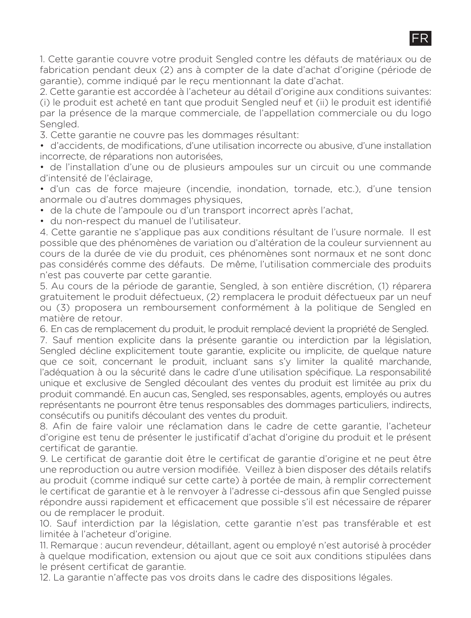1. Cette garantie couvre votre produit Sengled contre les défauts de matériaux ou de fabrication pendant deux (2) ans à compter de la date d'achat d'origine (période de garantie), comme indiqué par le reçu mentionnant la date d'achat.

FR

2. Cette garantie est accordée à l'acheteur au détail d'origine aux conditions suivantes: (i) le produit est acheté en tant que produit Sengled neuf et (ii) le produit est identifié par la présence de la marque commerciale, de l'appellation commerciale ou du logo Sengled.

3. Cette garantie ne couvre pas les dommages résultant:

• d'accidents, de modifications, d'une utilisation incorrecte ou abusive, d'une installation incorrecte, de réparations non autorisées,

• de l'installation d'une ou de plusieurs ampoules sur un circuit ou une commande d'intensité de l'éclairage,

• d'un cas de force majeure (incendie, inondation, tornade, etc.), d'une tension anormale ou d'autres dommages physiques,

• de la chute de l'ampoule ou d'un transport incorrect après l'achat,

• du non-respect du manuel de l'utilisateur.

4. Cette garantie ne s'applique pas aux conditions résultant de l'usure normale. Il est possible que des phénomènes de variation ou d'altération de la couleur surviennent au cours de la durée de vie du produit, ces phénomènes sont normaux et ne sont donc pas considérés comme des défauts. De même, l'utilisation commerciale des produits n'est pas couverte par cette garantie.

5. Au cours de la période de garantie, Sengled, à son entière discrétion, (1) réparera gratuitement le produit défectueux, (2) remplacera le produit défectueux par un neuf ou (3) proposera un remboursement conformément à la politique de Sengled en matière de retour.

6. En cas de remplacement du produit, le produit remplacé devient la propriété de Sengled.

7. Sauf mention explicite dans la présente garantie ou interdiction par la législation, Sengled décline explicitement toute garantie, explicite ou implicite, de quelque pature que ce soit, concernant le produit, incluant sans s'y limiter la qualité marchande, l'adéquation à ou la sécurité dans le cadre d'une utilisation spécifique. La responsabilité unique et exclusive de Sengled découlant des ventes du produit est limitée au prix du produit commandé. En aucun cas, Sengled, ses responsables, agents, employés ou autres représentants ne pourront être tenus responsables des dommages particuliers, indirects, consécutifs ou punitifs découlant des ventes du produit.

8. Afin de faire valoir une réclamation dans le cadre de cette garantie, l'acheteur d'origine est tenu de présenter le justificatif d'achat d'origine du produit et le présent certificat de garantie.

9. Le certificat de garantie doit être le certificat de garantie d'origine et ne peut être une reproduction ou autre version modifiée. Veillez à bien disposer des détails relatifs au produit (comme indiqué sur cette carte) à portée de main, à remplir correctement le certificat de garantie et à le renvoyer à l'adresse ci-dessous afin que Sengled puisse répondre aussi rapidement et efficacement que possible s'il est nécessaire de réparer ou de remplacer le produit.

10. Sauf interdiction par la législation, cette garantie n'est pas transférable et est limitée à l'acheteur d'origine.

11. Remarque : aucun revendeur, détaillant, agent ou employé n'est autorisé à procéder à quelque modification, extension ou ajout que ce soit aux conditions stipulées dans le présent certificat de garantie.

12. La garantie n'affecte pas vos droits dans le cadre des dispositions légales.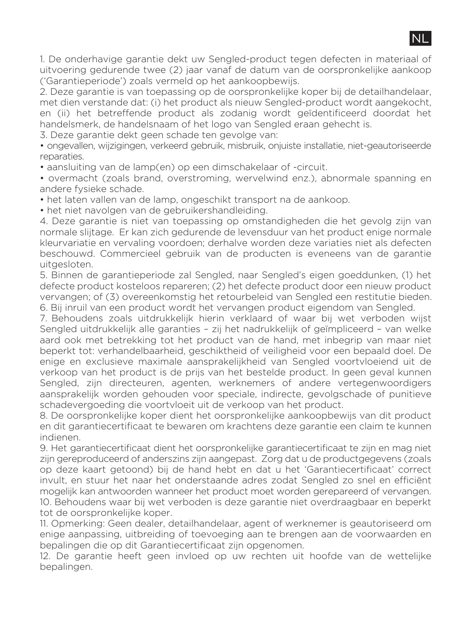

1. De onderhavige garantie dekt uw Sengled-product tegen defecten in materiaal of uitvoering gedurende twee (2) jaar vanaf de datum van de oorspronkelijke aankoop ('Garantieperiode') zoals vermeld op het aankoopbewijs.

2. Deze garantie is van toepassing op de oorspronkelijke koper bij de detailhandelaar, met dien verstande dat: (i) het product als nieuw Sengled-product wordt aangekocht, en (ii) het betreffende product als zodanig wordt geïdentificeerd doordat het handelsmerk, de handelsnaam of het logo van Sengled eraan gehecht is.

3. Deze garantie dekt geen schade ten gevolge van:

• ongevallen, wijzigingen, verkeerd gebruik, misbruik, onjuiste installatie, niet-geautoriseerde reparaties.

• aansluiting van de lamp(en) op een dimschakelaar of -circuit.

• overmacht (zoals brand, overstroming, wervelwind enz.), abnormale spanning en andere fysieke schade.

• het laten vallen van de lamp, ongeschikt transport na de aankoop.

• het niet navolgen van de gebruikershandleiding.

4. Deze garantie is niet van toepassing op omstandigheden die het gevolg zijn van normale slijtage. Er kan zich gedurende de levensduur van het product enige normale kleurvariatie en vervaling voordoen; derhalve worden deze variaties niet als defecten beschouwd. Commercieel gebruik van de producten is eveneens van de garantie uitgesloten.

5. Binnen de garantieperiode zal Sengled, naar Sengled's eigen goeddunken, (1) het defecte product kosteloos repareren; (2) het defecte product door een nieuw product vervangen; of (3) overeenkomstig het retourbeleid van Sengled een restitutie bieden. 6. Bij inruil van een product wordt het vervangen product eigendom van Sengled.

7. Behoudens zoals uitdrukkelijk hierin verklaard of waar bij wet verboden wijst Sengled uitdrukkelijk alle garanties – zij het nadrukkelijk of geïmpliceerd – van welke aard ook met betrekking tot het product van de hand, met inbegrip van maar niet beperkt tot: verhandelbaarheid, geschiktheid of veiligheid voor een bepaald doel. De enige en exclusieve maximale aansprakelijkheid van Sengled voortvloeiend uit de verkoop van het product is de prijs van het bestelde product. In geen geval kunnen Sengled, zijn directeuren, agenten, werknemers of andere vertegenwoordigers aansprakelijk worden gehouden voor speciale, indirecte, gevolgschade of punitieve schadevergoeding die voortvloeit uit de verkoop van het product.

8. De oorspronkelijke koper dient het oorspronkelijke aankoopbewijs van dit product en dit garantiecertificaat te bewaren om krachtens deze garantie een claim te kunnen indienen.

9. Het garantiecertificaat dient het oorspronkelijke garantiecertificaat te zijn en mag niet zijn gereproduceerd of anderszins zijn aangepast. Zorg dat u de productgegevens (zoals op deze kaart getoond) bij de hand hebt en dat u het 'Garantiecertificaat' correct invult, en stuur het naar het onderstaande adres zodat Sengled zo snel en efficiënt mogelijk kan antwoorden wanneer het product moet worden gerepareerd of vervangen. 10. Behoudens waar bij wet verboden is deze garantie niet overdraagbaar en beperkt tot de oorspronkelijke koper.

11. Opmerking: Geen dealer, detailhandelaar, agent of werknemer is geautoriseerd om enige aanpassing, uitbreiding of toevoeging aan te brengen aan de voorwaarden en bepalingen die op dit Garantiecertificaat zijn opgenomen.

12. De garantie heeft geen invloed op uw rechten uit hoofde van de wettelijke bepalingen.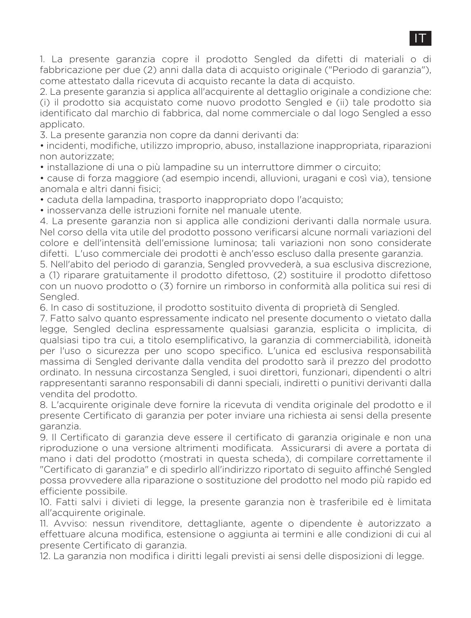1. La presente garanzia copre il prodotto Sengled da difetti di materiali o di fabbricazione per due (2) anni dalla data di acquisto originale ("Periodo di garanzia"), come attestato dalla ricevuta di acquisto recante la data di acquisto.

2. La presente garanzia si applica all'acquirente al dettaglio originale a condizione che: (i) il prodotto sia acquistato come nuovo prodotto Sengled e (ii) tale prodotto sia identificato dal marchio di fabbrica, dal nome commerciale o dal logo Sengled a esso applicato.

3. La presente garanzia non copre da danni derivanti da:

• incidenti, modifiche, utilizzo improprio, abuso, installazione inappropriata, riparazioni non autorizzate;

• installazione di una o più lampadine su un interruttore dimmer o circuito;

• cause di forza maggiore (ad esempio incendi, alluvioni, uragani e così via), tensione anomala e altri danni fisici;

• caduta della lampadina, trasporto inappropriato dopo l'acquisto;

• inosservanza delle istruzioni fornite nel manuale utente.

4. La presente garanzia non si applica alle condizioni derivanti dalla normale usura. Nel corso della vita utile del prodotto possono verificarsi alcune normali variazioni del colore e dell'intensità dell'emissione luminosa; tali variazioni non sono considerate difetti. L'uso commerciale dei prodotti è anch'esso escluso dalla presente garanzia.

5. Nell'abito del periodo di garanzia, Sengled provvederà, a sua esclusiva discrezione, a (1) riparare gratuitamente il prodotto difettoso, (2) sostituire il prodotto difettoso con un nuovo prodotto o (3) fornire un rimborso in conformità alla politica sui resi di Sengled.

6. In caso di sostituzione, il prodotto sostituito diventa di proprietà di Sengled.

7. Fatto salvo quanto espressamente indicato nel presente documento o vietato dalla legge, Sengled declina espressamente qualsiasi garanzia, esplicita o implicita, di qualsiasi tipo tra cui, a titolo esemplificativo, la garanzia di commerciabilità, idoneità per l'uso o sicurezza per uno scopo specifico. L'unica ed esclusiva responsabilità massima di Sengled derivante dalla vendita del prodotto sarà il prezzo del prodotto ordinato. In nessuna circostanza Sengled, i suoi direttori, funzionari, dipendenti o altri rappresentanti saranno responsabili di danni speciali, indiretti o punitivi derivanti dalla vendita del prodotto.

8. L'acquirente originale deve fornire la ricevuta di vendita originale del prodotto e il presente Certificato di garanzia per poter inviare una richiesta ai sensi della presente garanzia.

9. Il Certificato di garanzia deve essere il certificato di garanzia originale e non una riproduzione o una versione altrimenti modificata. Assicurarsi di avere a portata di mano i dati del prodotto (mostrati in questa scheda), di compilare correttamente il "Certificato di garanzia" e di spedirlo all'indirizzo riportato di seguito affinché Sengled possa provvedere alla riparazione o sostituzione del prodotto nel modo più rapido ed efficiente possibile.

10. Fatti salvi i divieti di legge, la presente garanzia non è trasferibile ed è limitata all'acquirente originale.

11. Avviso: nessun rivenditore, dettagliante, agente o dipendente è autorizzato a effettuare alcuna modifica, estensione o aggiunta ai termini e alle condizioni di cui al presente Certificato di garanzia.

12. La garanzia non modifica i diritti legali previsti ai sensi delle disposizioni di legge.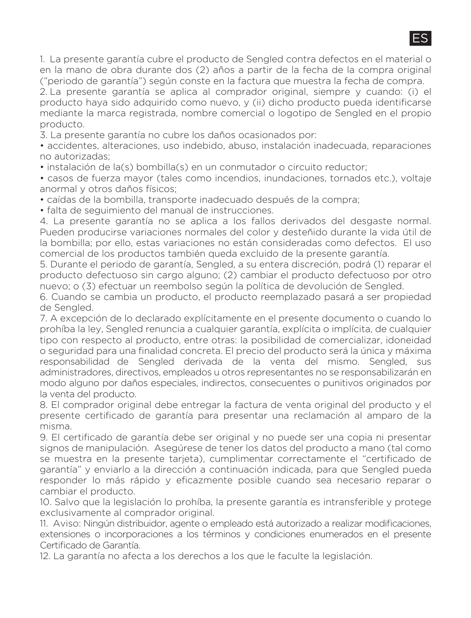1. La presente garantía cubre el producto de Sengled contra defectos en el material o en la mano de obra durante dos (2) años a partir de la fecha de la compra original ("periodo de garantía") según conste en la factura que muestra la fecha de compra.

2. La presente garantía se aplica al comprador original, siempre y cuando: (i) el producto haya sido adquirido como nuevo, y (ii) dicho producto pueda identificarse mediante la marca registrada, nombre comercial o logotipo de Sengled en el propio producto.

3. La presente garantía no cubre los daños ocasionados por:

• accidentes, alteraciones, uso indebido, abuso, instalación inadecuada, reparaciones no autorizadas;

• instalación de la(s) bombilla(s) en un conmutador o circuito reductor;

• casos de fuerza mayor (tales como incendios, inundaciones, tornados etc.), voltaje anormal y otros daños físicos;

• caídas de la bombilla, transporte inadecuado después de la compra;

• falta de seguimiento del manual de instrucciones.

4. La presente garantía no se aplica a los fallos derivados del desgaste normal. Pueden producirse variaciones normales del color y desteñido durante la vida útil de la bombilla; por ello, estas variaciones no están consideradas como defectos. El uso comercial de los productos también queda excluido de la presente garantía.

5. Durante el periodo de garantía, Sengled, a su entera discreción, podrá (1) reparar el producto defectuoso sin cargo alguno; (2) cambiar el producto defectuoso por otro nuevo; o (3) efectuar un reembolso según la política de devolución de Sengled.

6. Cuando se cambia un producto, el producto reemplazado pasará a ser propiedad de Sengled.

7. A excepción de lo declarado explícitamente en el presente documento o cuando lo prohíba la ley, Sengled renuncia a cualquier garantía, explícita o implícita, de cualquier tipo con respecto al producto, entre otras: la posibilidad de comercializar, idoneidad o seguridad para una finalidad concreta. El precio del producto será la única y máxima responsabilidad de Sengled derivada de la venta del mismo. Sengled, sus administradores, directivos, empleados u otros representantes no se responsabilizarán en modo alguno por daños especiales, indirectos, consecuentes o punitivos originados por la venta del producto.

8. El comprador original debe entregar la factura de venta original del producto y el presente certificado de garantía para presentar una reclamación al amparo de la misma.

9. El certificado de garantía debe ser original y no puede ser una copia ni presentar signos de manipulación. Asegúrese de tener los datos del producto a mano (tal como se muestra en la presente tarieta), cumplimentar correctamente el "certificado de garantía" y enviarlo a la dirección a continuación indicada, para que Sengled pueda responder lo más rápido y eficazmente posible cuando sea necesario reparar o cambiar el producto.

10. Salvo que la legislación lo prohíba, la presente garantía es intransferible y protege exclusivamente al comprador original.

11. Aviso: Ningún distribuidor, agente o empleado está autorizado a realizar modificaciones, extensiones o incorporaciones a los términos y condiciones enumerados en el presente Certificado de Garantía.

12. La garantía no afecta a los derechos a los que le faculte la legislación.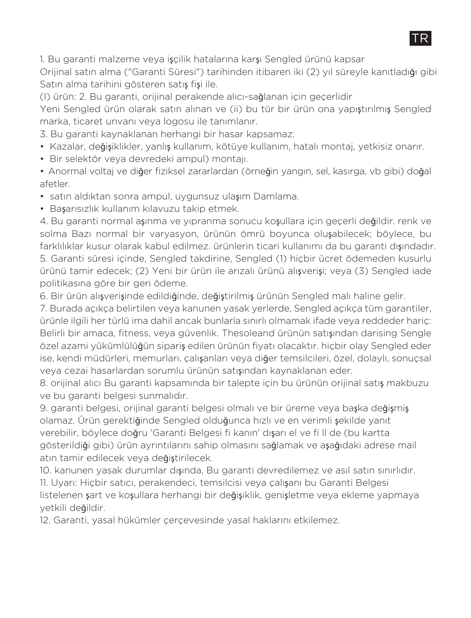1. Bu garanti malzeme veya işçilik hatalarına karşı Sengled ürünü kapsar

Orijinal satın alma ("Garanti Süresi") tarihinden itibaren iki (2) yıl süreyle kanıtladığı gibi Satın alma tarihini gösteren satış fişi ile.

TD.

(I) ürün: 2. Bu garanti, orijinal perakende alıcı-sağlanan için geçerlidir

Yeni Sengled ürün olarak satın alınan ve (ii) bu tür bir ürün ona yapıştırılmış Sengled marka, ticaret unvanı veya logosu ile tanımlanır.

3. Bu garanti kaynaklanan herhangi bir hasar kapsamaz:

- Kazalar, değişiklikler, yanlış kullanım, kötüye kullanım, hatalı montaj, yetkisiz onarır.
- Bir selektör veya devredeki ampul) montajı.
- Anormal voltaj ve diğer fiziksel zararlardan (örneğin yangın, sel, kasırga, vb gibi) doğal afetler.
- satın aldıktan sonra ampul, uygunsuz ulaşım Damlama.
- Başarısızlık kullanım kılavuzu takip etmek.

4. Bu garanti normal aşınma ve yıpranma sonucu koşullara için geçerli değildir. renk ve solma Bazı normal bir varyasyon, ürünün ömrü boyunca oluşabilecek; böylece, bu farklılıklar kusur olarak kabul edilmez. ürünlerin ticari kullanımı da bu garanti dışındadır. 5. Garanti süresi içinde, Sengled takdirine, Sengled (1) hiçbir ücret ödemeden kusurlu ürünü tamir edecek; (2) Yeni bir ürün ile arızalı ürünü alışverişi; veya (3) Sengled iade politikasına göre bir geri ödeme.

6. Bir ürün alışverişinde edildiğinde, değiştirilmiş ürünün Sengled malı haline gelir.

7. Burada açıkça belirtilen veya kanunen yasak yerlerde, Sengled açıkça tüm garantiler, ürünle ilgili her türlü ima dahil ancak bunlarla sınırlı olmamak ifade veya reddeder hariç: Belirli bir amaca, fitness, veya güvenlik. Thesoleand ürünün satışından darising Sengle özel azami yükümlülüğün sipariş edilen ürünün fiyatı olacaktır. hiçbir olay Sengled eder ise, kendi müdürleri, memurları, çalışanları veya diğer temsilcileri, özel, dolaylı, sonuçsal veya cezai hasarlardan sorumlu ürünün satışından kaynaklanan eder.

8. orijinal alıcı Bu garanti kapsamında bir talepte için bu ürünün orijinal satış makbuzu ve bu garanti belgesi sunmalıdır.

9. garanti belgesi, orijinal garanti belgesi olmalı ve bir üreme veya başka değişmiş olamaz. Ürün gerektiğinde Sengled olduğunca hızlı ve en verimli şekilde yanıt verebilir, böylece doğru 'Garanti Belgesi fi kanın' dışarı el ve fi ll de (bu kartta gösterildiği gibi) ürün ayrıntılarını sahip olmasını sağlamak ve aşağıdaki adrese mail atın tamir edilecek veya değiştirilecek.

10. kanunen yasak durumlar dışında, Bu garanti devredilemez ve asıl satın sınırlıdır. 11. Uyarı: Hiçbir satıcı, perakendeci, temsilcisi veya çalışanı bu Garanti Belgesi listelenen şart ve koşullara herhangi bir değişiklik, genişletme veya ekleme yapmaya yetkili değildir.

12. Garanti, yasal hükümler çerçevesinde yasal haklarını etkilemez.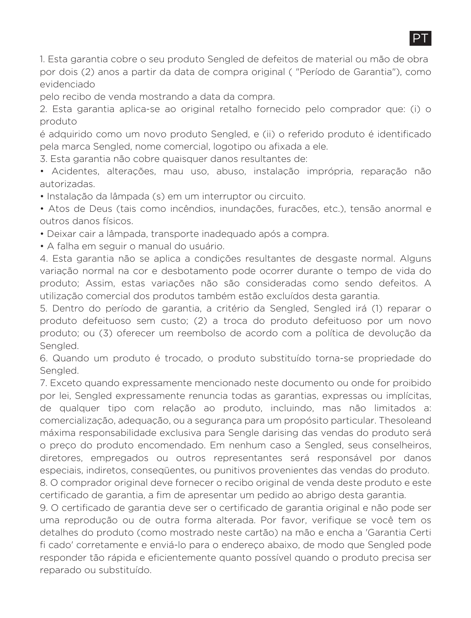1. Esta garantia cobre o seu produto Sengled de defeitos de material ou mão de obra por dois (2) anos a partir da data de compra original ( "Período de Garantia"), como evidenciado

pelo recibo de venda mostrando a data da compra.

2. Esta garantia aplica-se ao original retalho fornecido pelo comprador que: (i) o produto

é adquirido como um novo produto Sengled, e (ii) o referido produto é identificado pela marca Sengled, nome comercial, logotipo ou afixada a ele.

3. Esta garantia não cobre quaisquer danos resultantes de:

• Acidentes, alterações, mau uso, abuso, instalação imprópria, reparação não autorizadas.

• Instalação da lâmpada (s) em um interruptor ou circuito.

• Atos de Deus (tais como incêndios, inundações, furacões, etc.), tensão anormal e outros danos físicos.

• Deixar cair a lâmpada, transporte inadequado após a compra.

• A falha em seguir o manual do usuário.

4. Esta garantia não se aplica a condições resultantes de desgaste normal. Alguns variação normal na cor e desbotamento pode ocorrer durante o tempo de vida do produto; Assim, estas variações não são consideradas como sendo defeitos. A utilização comercial dos produtos também estão excluídos desta garantia.

5. Dentro do período de garantia, a critério da Sengled, Sengled irá (1) reparar o produto defeituoso sem custo; (2) a troca do produto defeituoso por um novo produto; ou (3) oferecer um reembolso de acordo com a política de devolução da Sengled.

6. Quando um produto é trocado, o produto substituído torna-se propriedade do Sengled.

7. Exceto quando expressamente mencionado neste documento ou onde for proibido por lei, Sengled expressamente renuncia todas as garantias, expressas ou implícitas, de qualquer tipo com relação ao produto, incluindo, mas não limitados a: comercialização, adequação, ou a segurança para um propósito particular. Thesoleand máxima responsabilidade exclusiva para Sengle darising das vendas do produto será o preço do produto encomendado. Em nenhum caso a Sengled, seus conselheiros, diretores, empregados ou outros representantes será responsável por danos especiais, indiretos, conseqüentes, ou punitivos provenientes das vendas do produto. 8. O comprador original deve fornecer o recibo original de venda deste produto e este certificado de garantia, a fim de apresentar um pedido ao abrigo desta garantia.

9. O certificado de garantia deve ser o certificado de garantia original e não pode ser uma reprodução ou de outra forma alterada. Por favor, verifique se você tem os detalhes do produto (como mostrado neste cartão) na mão e encha a 'Garantia Certi fi cado' corretamente e enviá-lo para o endereço abaixo, de modo que Sengled pode responder tão rápida e eficientemente quanto possível quando o produto precisa ser reparado ou substituído.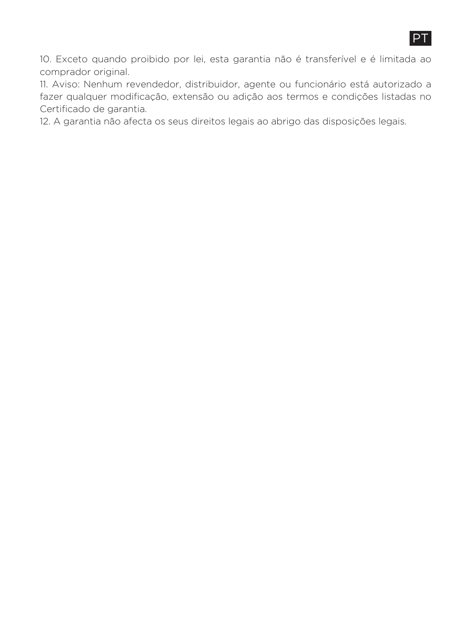

10. Exceto quando proibido por lei, esta garantia não é transferível e é limitada ao comprador original.

11. Aviso: Nenhum revendedor, distribuidor, agente ou funcionário está autorizado a fazer qualquer modificação, extensão ou adição aos termos e condições listadas no Certificado de garantia.

12. A garantia não afecta os seus direitos legais ao abrigo das disposições legais.